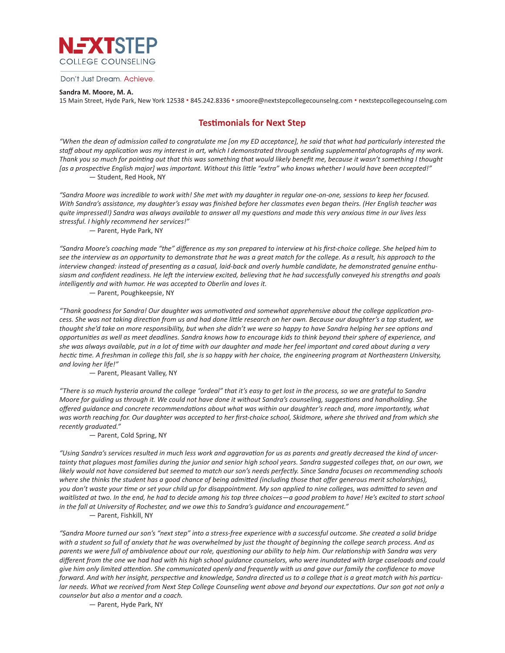

#### Don't Just Dream. Achieve.

### **Sandra M. Moore, M. A.**

15 Main Street, Hyde Park, New York 12538 • 845.242.8336 • smoore@nextstepcollegecounselng.com • nextstepcollegecounselng.com

## **Testimonials for Next Step**

*"When the dean of admission called to congratulate me [on my ED acceptance], he said that what had particularly interested the staff about my application was my interest in art, which I demonstrated through sending supplemental photographs of my work. Thank you so much for pointing out that this was something that would likely benefit me, because it wasn't something I thought [as a prospective English major] was important. Without this little "extra" who knows whether I would have been accepted!"* — Student, Red Hook, NY

*"Sandra Moore was incredible to work with! She met with my daughter in regular one-on-one, sessions to keep her focused. With Sandra's assistance, my daughter's essay was finished before her classmates even began theirs. (Her English teacher was quite impressed!) Sandra was always available to answer all my questions and made this very anxious time in our lives less stressful. I highly recommend her services!"*

— Parent, Hyde Park, NY

*"Sandra Moore's coaching made "the" difference as my son prepared to interview at his first-choice college. She helped him to see the interview as an opportunity to demonstrate that he was a great match for the college. As a result, his approach to the interview changed: instead of presenting as a casual, laid-back and overly humble candidate, he demonstrated genuine enthusiasm and confident readiness. He left the interview excited, believing that he had successfully conveyed his strengths and goals intelligently and with humor. He was accepted to Oberlin and loves it.*

— Parent, Poughkeepsie, NY

*"Thank goodness for Sandra! Our daughter was unmotivated and somewhat apprehensive about the college application process. She was not taking direction from us and had done little research on her own. Because our daughter's a top student, we thought she'd take on more responsibility, but when she didn't we were so happy to have Sandra helping her see options and opportunities as well as meet deadlines. Sandra knows how to encourage kids to think beyond their sphere of experience, and she was always available, put in a lot of time with our daughter and made her feel important and cared about during a very hectic time. A freshman in college this fall, she is so happy with her choice, the engineering program at Northeastern University, and loving her life!"*

— Parent, Pleasant Valley, NY

*"There is so much hysteria around the college "ordeal" that it's easy to get lost in the process, so we are grateful to Sandra Moore for guiding us through it. We could not have done it without Sandra's counseling, suggestions and handholding. She offered guidance and concrete recommendations about what was within our daughter's reach and, more importantly, what was worth reaching for. Our daughter was accepted to her first-choice school, Skidmore, where she thrived and from which she recently graduated."*

— Parent, Cold Spring, NY

*"Using Sandra's services resulted in much less work and aggravation for us as parents and greatly decreased the kind of uncertainty that plagues most families during the junior and senior high school years. Sandra suggested colleges that, on our own, we likely would not have considered but seemed to match our son's needs perfectly. Since Sandra focuses on recommending schools where she thinks the student has a good chance of being admitted (including those that offer generous merit scholarships), you don't waste your time or set your child up for disappointment. My son applied to nine colleges, was admitted to seven and waitlisted at two. In the end, he had to decide among his top three choices—a good problem to have! He's excited to start school in the fall at University of Rochester, and we owe this to Sandra's guidance and encouragement."* — Parent, Fishkill, NY

*"Sandra Moore turned our son's "next step" into a stress-free experience with a successful outcome. She created a solid bridge with a student so full of anxiety that he was overwhelmed by just the thought of beginning the college search process. And as parents we were full of ambivalence about our role, questioning our ability to help him. Our relationship with Sandra was very different from the one we had had with his high school guidance counselors, who were inundated with large caseloads and could give him only limited attention. She communicated openly and frequently with us and gave our family the confidence to move forward. And with her insight, perspective and knowledge, Sandra directed us to a college that is a great match with his particular needs. What we received from Next Step College Counseling went above and beyond our expectations. Our son got not only a counselor but also a mentor and a coach.*

— Parent, Hyde Park, NY